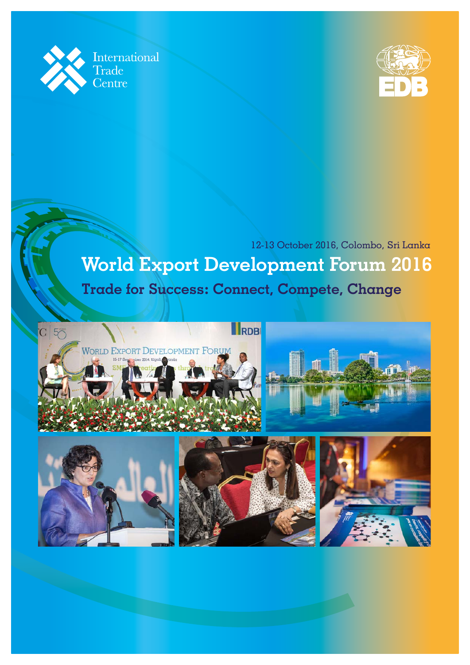



**World Export Development Forum 2016**  12-13 October 2016, Colombo, Sri Lanka **Trade for Success: Connect, Compete, Change**

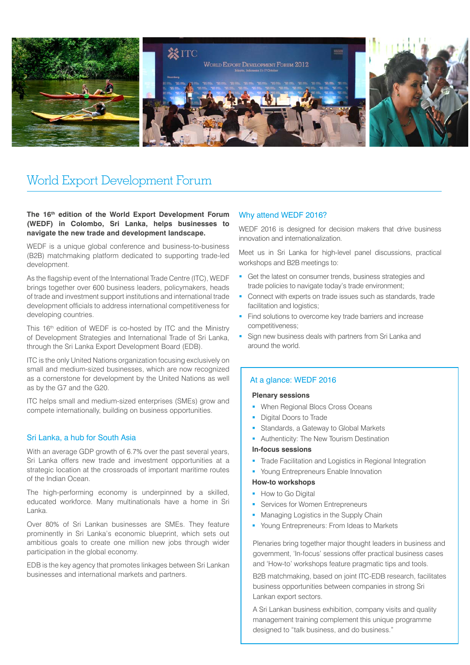

# World Export Development Forum

#### **The 16th edition of the World Export Development Forum (WEDF) in Colombo, Sri Lanka, helps businesses to navigate the new trade and development landscape.**

WEDF is a unique global conference and business-to-business (B2B) matchmaking platform dedicated to supporting trade-led development.

As the flagship event of the International Trade Centre (ITC), WEDF brings together over 600 business leaders, policymakers, heads of trade and investment support institutions and international trade development officials to address international competitiveness for developing countries.

This 16<sup>th</sup> edition of WEDF is co-hosted by ITC and the Ministry of Development Strategies and International Trade of Sri Lanka, through the Sri Lanka Export Development Board (EDB).

ITC is the only United Nations organization focusing exclusively on small and medium-sized businesses, which are now recognized as a cornerstone for development by the United Nations as well as by the G7 and the G20.

ITC helps small and medium-sized enterprises (SMEs) grow and compete internationally, building on business opportunities.

## Sri Lanka, a hub for South Asia

With an average GDP growth of 6.7% over the past several years, Sri Lanka offers new trade and investment opportunities at a strategic location at the crossroads of important maritime routes of the Indian Ocean.

The high-performing economy is underpinned by a skilled, educated workforce. Many multinationals have a home in Sri Lanka.

Over 80% of Sri Lankan businesses are SMEs. They feature prominently in Sri Lanka's economic blueprint, which sets out ambitious goals to create one million new jobs through wider participation in the global economy.

EDB is the key agency that promotes linkages between Sri Lankan businesses and international markets and partners.

## Why attend WEDF 2016?

WEDF 2016 is designed for decision makers that drive business innovation and internationalization.

Meet us in Sri Lanka for high-level panel discussions, practical workshops and B2B meetings to:

- Get the latest on consumer trends, business strategies and trade policies to navigate today's trade environment;
- **Connect with experts on trade issues such as standards, trade** facilitation and logistics;
- Find solutions to overcome key trade barriers and increase competitiveness;
- Sign new business deals with partners from Sri Lanka and around the world.

## At a glance: WEDF 2016

#### **Plenary sessions**

- **When Regional Blocs Cross Oceans**
- Digital Doors to Trade
- Standards, a Gateway to Global Markets
- Authenticity: The New Tourism Destination

#### **In-focus sessions**

- Trade Facilitation and Logistics in Regional Integration
- **Young Entrepreneurs Enable Innovation**

#### **How-to workshops**

- How to Go Digital
- **Services for Women Entrepreneurs**
- Managing Logistics in the Supply Chain
- **Young Entrepreneurs: From Ideas to Markets**

Plenaries bring together major thought leaders in business and government, 'In-focus' sessions offer practical business cases and 'How-to' workshops feature pragmatic tips and tools.

B2B matchmaking, based on joint ITC-EDB research, facilitates business opportunities between companies in strong Sri Lankan export sectors.

A Sri Lankan business exhibition, company visits and quality management training complement this unique programme designed to "talk business, and do business."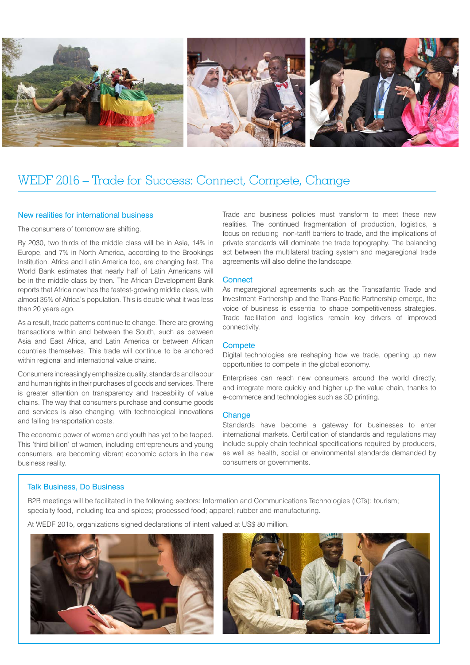

## WEDF 2016 – Trade for Success: Connect, Compete, Change

#### New realities for international business

The consumers of tomorrow are shifting.

By 2030, two thirds of the middle class will be in Asia, 14% in Europe, and 7% in North America, according to the Brookings Institution. Africa and Latin America too, are changing fast. The World Bank estimates that nearly half of Latin Americans will be in the middle class by then. The African Development Bank reports that Africa now has the fastest-growing middle class, with almost 35% of Africa's population. This is double what it was less than 20 years ago.

As a result, trade patterns continue to change. There are growing transactions within and between the South, such as between Asia and East Africa, and Latin America or between African countries themselves. This trade will continue to be anchored within regional and international value chains.

Consumers increasingly emphasize quality, standards and labour and human rights in their purchases of goods and services. There is greater attention on transparency and traceability of value chains. The way that consumers purchase and consume goods and services is also changing, with technological innovations and falling transportation costs.

The economic power of women and youth has yet to be tapped. This 'third billion' of women, including entrepreneurs and young consumers, are becoming vibrant economic actors in the new business reality.

Trade and business policies must transform to meet these new realities. The continued fragmentation of production, logistics, a focus on reducing non-tariff barriers to trade, and the implications of private standards will dominate the trade topography. The balancing act between the multilateral trading system and megaregional trade agreements will also define the landscape.

#### **Connect**

As megaregional agreements such as the Transatlantic Trade and Investment Partnership and the Trans-Pacific Partnership emerge, the voice of business is essential to shape competitiveness strategies. Trade facilitation and logistics remain key drivers of improved connectivity.

#### **Compete**

Digital technologies are reshaping how we trade, opening up new opportunities to compete in the global economy.

Enterprises can reach new consumers around the world directly, and integrate more quickly and higher up the value chain, thanks to e-commerce and technologies such as 3D printing.

### **Change**

Standards have become a gateway for businesses to enter international markets. Certification of standards and regulations may include supply chain technical specifications required by producers, as well as health, social or environmental standards demanded by consumers or governments.

#### Talk Business, Do Business

B2B meetings will be facilitated in the following sectors: Information and Communications Technologies (ICTs); tourism; specialty food, including tea and spices; processed food; apparel; rubber and manufacturing.

At WEDF 2015, organizations signed declarations of intent valued at US\$ 80 million.